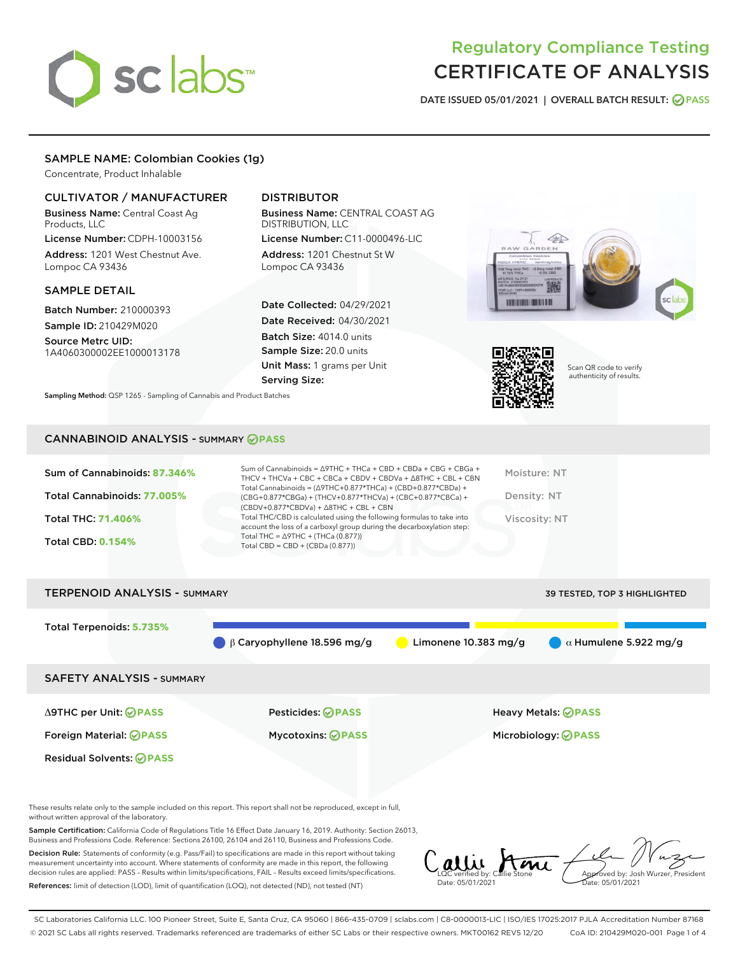# sclabs

### Regulatory Compliance Testing CERTIFICATE OF ANALYSIS

DATE ISSUED 05/01/2021 | OVERALL BATCH RESULT: @ PASS

#### SAMPLE NAME: Colombian Cookies (1g)

Concentrate, Product Inhalable

#### CULTIVATOR / MANUFACTURER

Business Name: Central Coast Ag Products, LLC

License Number: CDPH-10003156 Address: 1201 West Chestnut Ave. Lompoc CA 93436

#### SAMPLE DETAIL

Batch Number: 210000393 Sample ID: 210429M020

Source Metrc UID: 1A4060300002EE1000013178

#### DISTRIBUTOR

Business Name: CENTRAL COAST AG DISTRIBUTION, LLC

License Number: C11-0000496-LIC Address: 1201 Chestnut St W Lompoc CA 93436

Date Collected: 04/29/2021 Date Received: 04/30/2021 Batch Size: 4014.0 units Sample Size: 20.0 units Unit Mass: 1 grams per Unit Serving Size:

Sampling Method: QSP 1265 - Sampling of Cannabis and Product Batches

## $\triangle$ **BOURNAL HOURS OF**



Scan QR code to verify authenticity of results.

#### CANNABINOID ANALYSIS - SUMMARY **PASS**

| <b>Total CBD: 0.154%</b><br>Total CBD = $CBD + (CBDa (0.877))$ | Sum of Cannabinoids: 87.346%<br>Total Cannabinoids: 77.005%<br><b>Total THC: 71.406%</b> | Sum of Cannabinoids = $\triangle$ 9THC + THCa + CBD + CBDa + CBG + CBGa +<br>THCV + THCVa + CBC + CBCa + CBDV + CBDVa + $\Delta$ 8THC + CBL + CBN<br>Total Cannabinoids = $(\Delta$ 9THC+0.877*THCa) + (CBD+0.877*CBDa) +<br>$(CBG+0.877*CBGa) + (THCV+0.877*THCVa) + (CBC+0.877*CBCa) +$<br>$(CBDV+0.877*CBDVa) + \Delta 8THC + CBL + CBN$<br>Total THC/CBD is calculated using the following formulas to take into<br>account the loss of a carboxyl group during the decarboxylation step: | Moisture: NT<br>Density: NT<br>Viscosity: NT |
|----------------------------------------------------------------|------------------------------------------------------------------------------------------|-----------------------------------------------------------------------------------------------------------------------------------------------------------------------------------------------------------------------------------------------------------------------------------------------------------------------------------------------------------------------------------------------------------------------------------------------------------------------------------------------|----------------------------------------------|
|                                                                |                                                                                          | Total THC = $\triangle$ 9THC + (THCa (0.877))                                                                                                                                                                                                                                                                                                                                                                                                                                                 |                                              |



These results relate only to the sample included on this report. This report shall not be reproduced, except in full, without written approval of the laboratory.

Sample Certification: California Code of Regulations Title 16 Effect Date January 16, 2019. Authority: Section 26013, Business and Professions Code. Reference: Sections 26100, 26104 and 26110, Business and Professions Code.

Decision Rule: Statements of conformity (e.g. Pass/Fail) to specifications are made in this report without taking measurement uncertainty into account. Where statements of conformity are made in this report, the following decision rules are applied: PASS – Results within limits/specifications, FAIL – Results exceed limits/specifications. References: limit of detection (LOD), limit of quantification (LOQ), not detected (ND), not tested (NT)

allie Ami Date: 05/01/2021 Approved by: Josh Wurzer, President Date: 05/01/2021

SC Laboratories California LLC. 100 Pioneer Street, Suite E, Santa Cruz, CA 95060 | 866-435-0709 | sclabs.com | C8-0000013-LIC | ISO/IES 17025:2017 PJLA Accreditation Number 87168 © 2021 SC Labs all rights reserved. Trademarks referenced are trademarks of either SC Labs or their respective owners. MKT00162 REV5 12/20 CoA ID: 210429M020-001 Page 1 of 4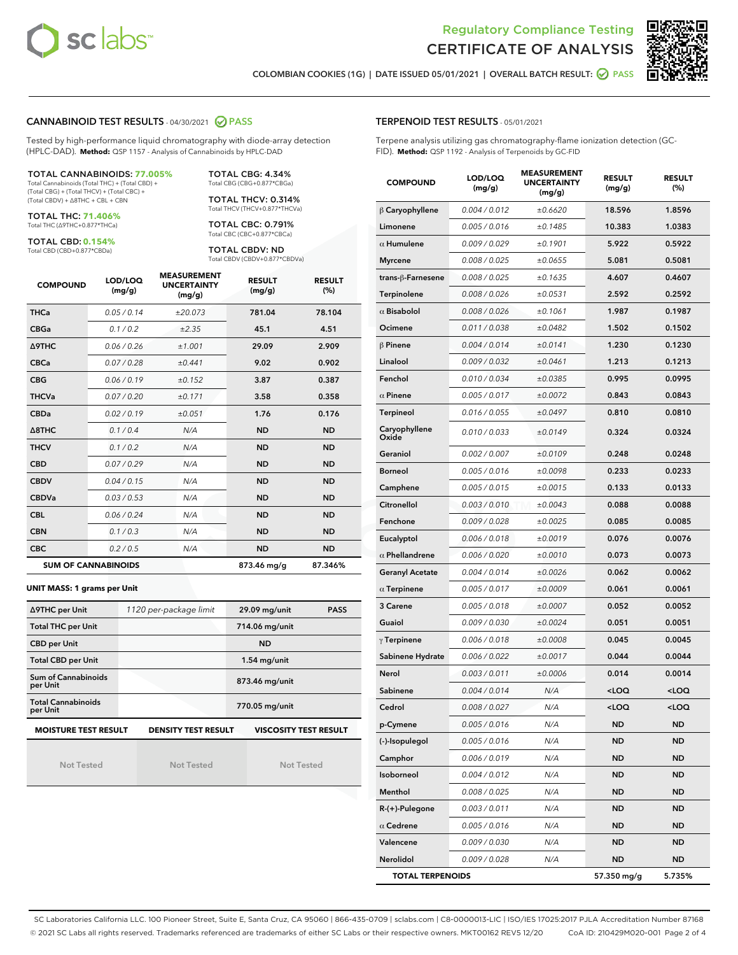



COLOMBIAN COOKIES (1G) | DATE ISSUED 05/01/2021 | OVERALL BATCH RESULT: ● PASS

#### CANNABINOID TEST RESULTS - 04/30/2021 2 PASS

Tested by high-performance liquid chromatography with diode-array detection (HPLC-DAD). **Method:** QSP 1157 - Analysis of Cannabinoids by HPLC-DAD

#### TOTAL CANNABINOIDS: **77.005%** Total Cannabinoids (Total THC) + (Total CBD) +

(Total CBG) + (Total THCV) + (Total CBC) + (Total CBDV) + ∆8THC + CBL + CBN

TOTAL THC: **71.406%** Total THC (∆9THC+0.877\*THCa)

TOTAL CBD: **0.154%**

Total CBD (CBD+0.877\*CBDa)

TOTAL CBG: 4.34% Total CBG (CBG+0.877\*CBGa)

TOTAL THCV: 0.314% Total THCV (THCV+0.877\*THCVa)

TOTAL CBC: 0.791% Total CBC (CBC+0.877\*CBCa)

TOTAL CBDV: ND Total CBDV (CBDV+0.877\*CBDVa)

| <b>COMPOUND</b> | LOD/LOQ<br>(mg/g)          | <b>MEASUREMENT</b><br><b>UNCERTAINTY</b><br>(mg/g) | <b>RESULT</b><br>(mg/g) | <b>RESULT</b><br>(%) |
|-----------------|----------------------------|----------------------------------------------------|-------------------------|----------------------|
| <b>THCa</b>     | 0.05/0.14                  | ±20.073                                            | 781.04                  | 78.104               |
| <b>CBGa</b>     | 0.1/0.2                    | ±2.35                                              | 45.1                    | 4.51                 |
| <b>A9THC</b>    | 0.06 / 0.26                | ±1.001                                             | 29.09                   | 2.909                |
| <b>CBCa</b>     | 0.07 / 0.28                | ±0.441                                             | 9.02                    | 0.902                |
| <b>CBG</b>      | 0.06/0.19                  | ±0.152                                             | 3.87                    | 0.387                |
| <b>THCVa</b>    | 0.07/0.20                  | ±0.171                                             | 3.58                    | 0.358                |
| <b>CBDa</b>     | 0.02 / 0.19                | ±0.051                                             | 1.76                    | 0.176                |
| A8THC           | 0.1/0.4                    | N/A                                                | <b>ND</b>               | <b>ND</b>            |
| <b>THCV</b>     | 0.1 / 0.2                  | N/A                                                | <b>ND</b>               | <b>ND</b>            |
| <b>CBD</b>      | 0.07/0.29                  | N/A                                                | <b>ND</b>               | <b>ND</b>            |
| <b>CBDV</b>     | 0.04/0.15                  | N/A                                                | <b>ND</b>               | <b>ND</b>            |
| <b>CBDVa</b>    | 0.03/0.53                  | N/A                                                | <b>ND</b>               | <b>ND</b>            |
| <b>CBL</b>      | 0.06 / 0.24                | N/A                                                | <b>ND</b>               | <b>ND</b>            |
| <b>CBN</b>      | 0.1/0.3                    | N/A                                                | <b>ND</b>               | <b>ND</b>            |
| <b>CBC</b>      | 0.2 / 0.5                  | N/A                                                | <b>ND</b>               | <b>ND</b>            |
|                 | <b>SUM OF CANNABINOIDS</b> |                                                    | 873.46 mg/g             | 87.346%              |

#### **UNIT MASS: 1 grams per Unit**

| ∆9THC per Unit                                                                            | 1120 per-package limit | 29.09 mg/unit<br><b>PASS</b> |  |  |
|-------------------------------------------------------------------------------------------|------------------------|------------------------------|--|--|
| <b>Total THC per Unit</b>                                                                 |                        | 714.06 mg/unit               |  |  |
| <b>CBD per Unit</b>                                                                       |                        | <b>ND</b>                    |  |  |
| <b>Total CBD per Unit</b>                                                                 |                        | $1.54$ mg/unit               |  |  |
| Sum of Cannabinoids<br>per Unit                                                           |                        | 873.46 mg/unit               |  |  |
| <b>Total Cannabinoids</b><br>per Unit                                                     |                        | 770.05 mg/unit               |  |  |
| <b>MOISTURE TEST RESULT</b><br><b>DENSITY TEST RESULT</b><br><b>VISCOSITY TEST RESULT</b> |                        |                              |  |  |

Not Tested

Not Tested

Not Tested

#### TERPENOID TEST RESULTS - 05/01/2021

Terpene analysis utilizing gas chromatography-flame ionization detection (GC-FID). **Method:** QSP 1192 - Analysis of Terpenoids by GC-FID

| <b>COMPOUND</b>         | LOD/LOQ<br>(mg/g) | <b>MEASUREMENT</b><br><b>UNCERTAINTY</b><br>(mg/g) | <b>RESULT</b><br>(mg/g)                         | <b>RESULT</b><br>$(\%)$ |
|-------------------------|-------------------|----------------------------------------------------|-------------------------------------------------|-------------------------|
| $\beta$ Caryophyllene   | 0.004 / 0.012     | ±0.6620                                            | 18.596                                          | 1.8596                  |
| Limonene                | 0.005 / 0.016     | ±0.1485                                            | 10.383                                          | 1.0383                  |
| $\alpha$ Humulene       | 0.009 / 0.029     | ±0.1901                                            | 5.922                                           | 0.5922                  |
| <b>Myrcene</b>          | 0.008 / 0.025     | ±0.0655                                            | 5.081                                           | 0.5081                  |
| trans-ß-Farnesene       | 0.008 / 0.025     | ±0.1635                                            | 4.607                                           | 0.4607                  |
| Terpinolene             | 0.008 / 0.026     | ±0.0531                                            | 2.592                                           | 0.2592                  |
| $\alpha$ Bisabolol      | 0.008 / 0.026     | ±0.1061                                            | 1.987                                           | 0.1987                  |
| Ocimene                 | 0.011 / 0.038     | ±0.0482                                            | 1.502                                           | 0.1502                  |
| $\beta$ Pinene          | 0.004 / 0.014     | ±0.0141                                            | 1.230                                           | 0.1230                  |
| Linalool                | 0.009 / 0.032     | ±0.0461                                            | 1.213                                           | 0.1213                  |
| Fenchol                 | 0.010 / 0.034     | ±0.0385                                            | 0.995                                           | 0.0995                  |
| $\alpha$ Pinene         | 0.005 / 0.017     | ±0.0072                                            | 0.843                                           | 0.0843                  |
| Terpineol               | 0.016 / 0.055     | ±0.0497                                            | 0.810                                           | 0.0810                  |
| Caryophyllene<br>Oxide  | 0.010 / 0.033     | ±0.0149                                            | 0.324                                           | 0.0324                  |
| Geraniol                | 0.002 / 0.007     | ±0.0109                                            | 0.248                                           | 0.0248                  |
| <b>Borneol</b>          | 0.005 / 0.016     | ±0.0098                                            | 0.233                                           | 0.0233                  |
| Camphene                | 0.005 / 0.015     | ±0.0015                                            | 0.133                                           | 0.0133                  |
| Citronellol             | 0.003 / 0.010     | ±0.0043                                            | 0.088                                           | 0.0088                  |
| Fenchone                | 0.009 / 0.028     | ±0.0025                                            | 0.085                                           | 0.0085                  |
| Eucalyptol              | 0.006 / 0.018     | ±0.0019                                            | 0.076                                           | 0.0076                  |
| $\alpha$ Phellandrene   | 0.006 / 0.020     | ±0.0010                                            | 0.073                                           | 0.0073                  |
| <b>Geranyl Acetate</b>  | 0.004 / 0.014     | ±0.0026                                            | 0.062                                           | 0.0062                  |
| $\alpha$ Terpinene      | 0.005 / 0.017     | ±0.0009                                            | 0.061                                           | 0.0061                  |
| 3 Carene                | 0.005 / 0.018     | ±0.0007                                            | 0.052                                           | 0.0052                  |
| Guaiol                  | 0.009 / 0.030     | ±0.0024                                            | 0.051                                           | 0.0051                  |
| $\gamma$ Terpinene      | 0.006 / 0.018     | ±0.0008                                            | 0.045                                           | 0.0045                  |
| Sabinene Hydrate        | 0.006 / 0.022     | ±0.0017                                            | 0.044                                           | 0.0044                  |
| Nerol                   | 0.003 / 0.011     | ±0.0006                                            | 0.014                                           | 0.0014                  |
| Sabinene                | 0.004 / 0.014     | N/A                                                | <loq< th=""><th><loq< th=""></loq<></th></loq<> | <loq< th=""></loq<>     |
| Cedrol                  | 0.008 / 0.027     | N/A                                                | $<$ l OO                                        | $\sim$ 0.0              |
| p-Cymene                | 0.005 / 0.016     | N/A                                                | ND                                              | ND                      |
| (-)-Isopulegol          | 0.005 / 0.016     | N/A                                                | ND                                              | ND                      |
| Camphor                 | 0.006 / 0.019     | N/A                                                | ND                                              | <b>ND</b>               |
| Isoborneol              | 0.004 / 0.012     | N/A                                                | ND                                              | ND                      |
| Menthol                 | 0.008 / 0.025     | N/A                                                | ND                                              | ND                      |
| R-(+)-Pulegone          | 0.003 / 0.011     | N/A                                                | ND                                              | ND                      |
| $\alpha$ Cedrene        | 0.005 / 0.016     | N/A                                                | ND                                              | ND                      |
| Valencene               | 0.009 / 0.030     | N/A                                                | ND                                              | ND                      |
| Nerolidol               | 0.009 / 0.028     | N/A                                                | ND                                              | <b>ND</b>               |
| <b>TOTAL TERPENOIDS</b> |                   |                                                    | 57.350 mg/g                                     | 5.735%                  |

SC Laboratories California LLC. 100 Pioneer Street, Suite E, Santa Cruz, CA 95060 | 866-435-0709 | sclabs.com | C8-0000013-LIC | ISO/IES 17025:2017 PJLA Accreditation Number 87168 © 2021 SC Labs all rights reserved. Trademarks referenced are trademarks of either SC Labs or their respective owners. MKT00162 REV5 12/20 CoA ID: 210429M020-001 Page 2 of 4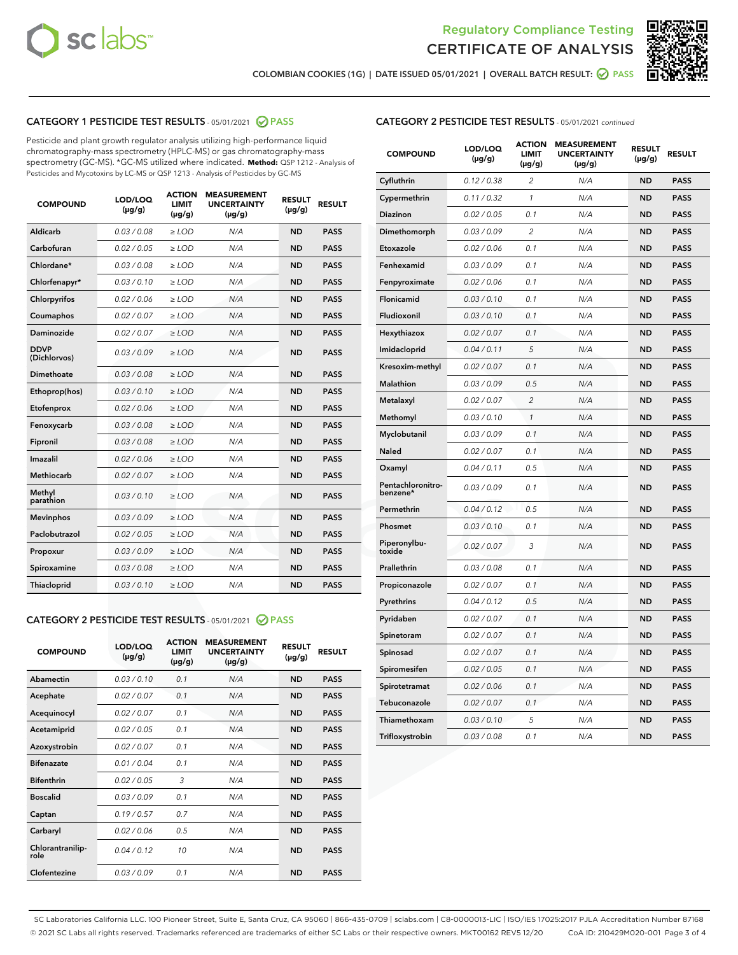



COLOMBIAN COOKIES (1G) | DATE ISSUED 05/01/2021 | OVERALL BATCH RESULT: ☑ PASS

#### CATEGORY 1 PESTICIDE TEST RESULTS - 05/01/2021 2 PASS

Pesticide and plant growth regulator analysis utilizing high-performance liquid chromatography-mass spectrometry (HPLC-MS) or gas chromatography-mass spectrometry (GC-MS). \*GC-MS utilized where indicated. **Method:** QSP 1212 - Analysis of Pesticides and Mycotoxins by LC-MS or QSP 1213 - Analysis of Pesticides by GC-MS

| <b>COMPOUND</b>             | LOD/LOQ<br>$(\mu g/g)$ | <b>ACTION</b><br><b>LIMIT</b><br>$(\mu g/g)$ | <b>MEASUREMENT</b><br><b>UNCERTAINTY</b><br>$(\mu g/g)$ | <b>RESULT</b><br>$(\mu g/g)$ | <b>RESULT</b> |
|-----------------------------|------------------------|----------------------------------------------|---------------------------------------------------------|------------------------------|---------------|
| Aldicarb                    | 0.03 / 0.08            | $\geq$ LOD                                   | N/A                                                     | <b>ND</b>                    | <b>PASS</b>   |
| Carbofuran                  | 0.02/0.05              | $\geq$ LOD                                   | N/A                                                     | <b>ND</b>                    | <b>PASS</b>   |
| Chlordane*                  | 0.03 / 0.08            | $\ge$ LOD                                    | N/A                                                     | <b>ND</b>                    | <b>PASS</b>   |
| Chlorfenapyr*               | 0.03/0.10              | $\ge$ LOD                                    | N/A                                                     | <b>ND</b>                    | <b>PASS</b>   |
| Chlorpyrifos                | 0.02 / 0.06            | $\ge$ LOD                                    | N/A                                                     | <b>ND</b>                    | <b>PASS</b>   |
| Coumaphos                   | 0.02 / 0.07            | $\ge$ LOD                                    | N/A                                                     | <b>ND</b>                    | <b>PASS</b>   |
| Daminozide                  | 0.02 / 0.07            | $\ge$ LOD                                    | N/A                                                     | <b>ND</b>                    | <b>PASS</b>   |
| <b>DDVP</b><br>(Dichlorvos) | 0.03/0.09              | $\ge$ LOD                                    | N/A                                                     | <b>ND</b>                    | <b>PASS</b>   |
| Dimethoate                  | 0.03 / 0.08            | $\ge$ LOD                                    | N/A                                                     | <b>ND</b>                    | <b>PASS</b>   |
| Ethoprop(hos)               | 0.03/0.10              | $\ge$ LOD                                    | N/A                                                     | <b>ND</b>                    | <b>PASS</b>   |
| Etofenprox                  | 0.02/0.06              | $\ge$ LOD                                    | N/A                                                     | <b>ND</b>                    | <b>PASS</b>   |
| Fenoxycarb                  | 0.03/0.08              | $\ge$ LOD                                    | N/A                                                     | <b>ND</b>                    | <b>PASS</b>   |
| Fipronil                    | 0.03/0.08              | $\ge$ LOD                                    | N/A                                                     | <b>ND</b>                    | <b>PASS</b>   |
| Imazalil                    | 0.02 / 0.06            | $\ge$ LOD                                    | N/A                                                     | <b>ND</b>                    | <b>PASS</b>   |
| <b>Methiocarb</b>           | 0.02 / 0.07            | $\ge$ LOD                                    | N/A                                                     | <b>ND</b>                    | <b>PASS</b>   |
| Methyl<br>parathion         | 0.03/0.10              | $\ge$ LOD                                    | N/A                                                     | <b>ND</b>                    | <b>PASS</b>   |
| <b>Mevinphos</b>            | 0.03/0.09              | $\ge$ LOD                                    | N/A                                                     | <b>ND</b>                    | <b>PASS</b>   |
| Paclobutrazol               | 0.02 / 0.05            | $\ge$ LOD                                    | N/A                                                     | <b>ND</b>                    | <b>PASS</b>   |
| Propoxur                    | 0.03/0.09              | $\ge$ LOD                                    | N/A                                                     | <b>ND</b>                    | <b>PASS</b>   |
| Spiroxamine                 | 0.03 / 0.08            | $\ge$ LOD                                    | N/A                                                     | <b>ND</b>                    | <b>PASS</b>   |
| <b>Thiacloprid</b>          | 0.03/0.10              | $\ge$ LOD                                    | N/A                                                     | <b>ND</b>                    | <b>PASS</b>   |
|                             |                        |                                              |                                                         |                              |               |

#### CATEGORY 2 PESTICIDE TEST RESULTS - 05/01/2021 @ PASS

| <b>COMPOUND</b>          | LOD/LOQ<br>$(\mu g/g)$ | <b>ACTION</b><br>LIMIT<br>$(\mu g/g)$ | <b>MEASUREMENT</b><br><b>UNCERTAINTY</b><br>$(\mu g/g)$ | <b>RESULT</b><br>$(\mu g/g)$ | <b>RESULT</b> |
|--------------------------|------------------------|---------------------------------------|---------------------------------------------------------|------------------------------|---------------|
| Abamectin                | 0.03/0.10              | 0.1                                   | N/A                                                     | <b>ND</b>                    | <b>PASS</b>   |
| Acephate                 | 0.02/0.07              | 0.1                                   | N/A                                                     | <b>ND</b>                    | <b>PASS</b>   |
| Acequinocyl              | 0.02/0.07              | 0.1                                   | N/A                                                     | <b>ND</b>                    | <b>PASS</b>   |
| Acetamiprid              | 0.02 / 0.05            | 0.1                                   | N/A                                                     | <b>ND</b>                    | <b>PASS</b>   |
| Azoxystrobin             | 0.02/0.07              | 0.1                                   | N/A                                                     | <b>ND</b>                    | <b>PASS</b>   |
| <b>Bifenazate</b>        | 0.01/0.04              | 0.1                                   | N/A                                                     | <b>ND</b>                    | <b>PASS</b>   |
| <b>Bifenthrin</b>        | 0.02 / 0.05            | 3                                     | N/A                                                     | <b>ND</b>                    | <b>PASS</b>   |
| <b>Boscalid</b>          | 0.03/0.09              | 0.1                                   | N/A                                                     | <b>ND</b>                    | <b>PASS</b>   |
| Captan                   | 0.19/0.57              | 0.7                                   | N/A                                                     | <b>ND</b>                    | <b>PASS</b>   |
| Carbaryl                 | 0.02/0.06              | 0.5                                   | N/A                                                     | <b>ND</b>                    | <b>PASS</b>   |
| Chlorantranilip-<br>role | 0.04/0.12              | 10                                    | N/A                                                     | <b>ND</b>                    | <b>PASS</b>   |
| Clofentezine             | 0.03/0.09              | 0.1                                   | N/A                                                     | <b>ND</b>                    | <b>PASS</b>   |

#### CATEGORY 2 PESTICIDE TEST RESULTS - 05/01/2021 continued

| <b>COMPOUND</b>               | LOD/LOQ<br>(µg/g) | <b>ACTION</b><br><b>LIMIT</b><br>$(\mu g/g)$ | <b>MEASUREMENT</b><br><b>UNCERTAINTY</b><br>$(\mu g/g)$ | <b>RESULT</b><br>(µg/g) | <b>RESULT</b> |
|-------------------------------|-------------------|----------------------------------------------|---------------------------------------------------------|-------------------------|---------------|
| Cyfluthrin                    | 0.12 / 0.38       | $\overline{c}$                               | N/A                                                     | ND                      | <b>PASS</b>   |
| Cypermethrin                  | 0.11 / 0.32       | $\mathcal{I}$                                | N/A                                                     | ND                      | <b>PASS</b>   |
| <b>Diazinon</b>               | 0.02 / 0.05       | 0.1                                          | N/A                                                     | <b>ND</b>               | <b>PASS</b>   |
| Dimethomorph                  | 0.03 / 0.09       | 2                                            | N/A                                                     | ND                      | <b>PASS</b>   |
| Etoxazole                     | 0.02 / 0.06       | 0.1                                          | N/A                                                     | ND                      | <b>PASS</b>   |
| Fenhexamid                    | 0.03 / 0.09       | 0.1                                          | N/A                                                     | ND                      | <b>PASS</b>   |
| Fenpyroximate                 | 0.02 / 0.06       | 0.1                                          | N/A                                                     | <b>ND</b>               | <b>PASS</b>   |
| Flonicamid                    | 0.03 / 0.10       | 0.1                                          | N/A                                                     | ND                      | <b>PASS</b>   |
| Fludioxonil                   | 0.03 / 0.10       | 0.1                                          | N/A                                                     | ND                      | <b>PASS</b>   |
| Hexythiazox                   | 0.02 / 0.07       | 0.1                                          | N/A                                                     | ND                      | <b>PASS</b>   |
| Imidacloprid                  | 0.04 / 0.11       | 5                                            | N/A                                                     | ND                      | <b>PASS</b>   |
| Kresoxim-methyl               | 0.02 / 0.07       | 0.1                                          | N/A                                                     | ND                      | <b>PASS</b>   |
| Malathion                     | 0.03 / 0.09       | 0.5                                          | N/A                                                     | ND                      | <b>PASS</b>   |
| Metalaxyl                     | 0.02 / 0.07       | $\overline{c}$                               | N/A                                                     | ND                      | <b>PASS</b>   |
| Methomyl                      | 0.03 / 0.10       | $\mathbf{1}$                                 | N/A                                                     | ND                      | <b>PASS</b>   |
| Myclobutanil                  | 0.03 / 0.09       | 0.1                                          | N/A                                                     | <b>ND</b>               | <b>PASS</b>   |
| Naled                         | 0.02 / 0.07       | 0.1                                          | N/A                                                     | ND                      | <b>PASS</b>   |
| Oxamyl                        | 0.04 / 0.11       | 0.5                                          | N/A                                                     | ND                      | PASS          |
| Pentachloronitro-<br>benzene* | 0.03 / 0.09       | 0.1                                          | N/A                                                     | ND                      | <b>PASS</b>   |
| Permethrin                    | 0.04 / 0.12       | 0.5                                          | N/A                                                     | ND                      | <b>PASS</b>   |
| Phosmet                       | 0.03 / 0.10       | 0.1                                          | N/A                                                     | ND                      | <b>PASS</b>   |
| Piperonylbu-<br>toxide        | 0.02 / 0.07       | 3                                            | N/A                                                     | <b>ND</b>               | <b>PASS</b>   |
| Prallethrin                   | 0.03 / 0.08       | 0.1                                          | N/A                                                     | ND                      | <b>PASS</b>   |
| Propiconazole                 | 0.02 / 0.07       | 0.1                                          | N/A                                                     | <b>ND</b>               | <b>PASS</b>   |
| Pyrethrins                    | 0.04 / 0.12       | 0.5                                          | N/A                                                     | ND                      | <b>PASS</b>   |
| Pyridaben                     | 0.02 / 0.07       | 0.1                                          | N/A                                                     | <b>ND</b>               | <b>PASS</b>   |
| Spinetoram                    | 0.02 / 0.07       | 0.1                                          | N/A                                                     | ND                      | <b>PASS</b>   |
| Spinosad                      | 0.02 / 0.07       | 0.1                                          | N/A                                                     | ND                      | <b>PASS</b>   |
| Spiromesifen                  | 0.02 / 0.05       | 0.1                                          | N/A                                                     | <b>ND</b>               | <b>PASS</b>   |
| Spirotetramat                 | 0.02 / 0.06       | 0.1                                          | N/A                                                     | ND                      | <b>PASS</b>   |
| Tebuconazole                  | 0.02 / 0.07       | 0.1                                          | N/A                                                     | ND                      | <b>PASS</b>   |
| Thiamethoxam                  | 0.03 / 0.10       | 5                                            | N/A                                                     | <b>ND</b>               | <b>PASS</b>   |
| Trifloxystrobin               | 0.03 / 0.08       | 0.1                                          | N/A                                                     | <b>ND</b>               | <b>PASS</b>   |

SC Laboratories California LLC. 100 Pioneer Street, Suite E, Santa Cruz, CA 95060 | 866-435-0709 | sclabs.com | C8-0000013-LIC | ISO/IES 17025:2017 PJLA Accreditation Number 87168 © 2021 SC Labs all rights reserved. Trademarks referenced are trademarks of either SC Labs or their respective owners. MKT00162 REV5 12/20 CoA ID: 210429M020-001 Page 3 of 4